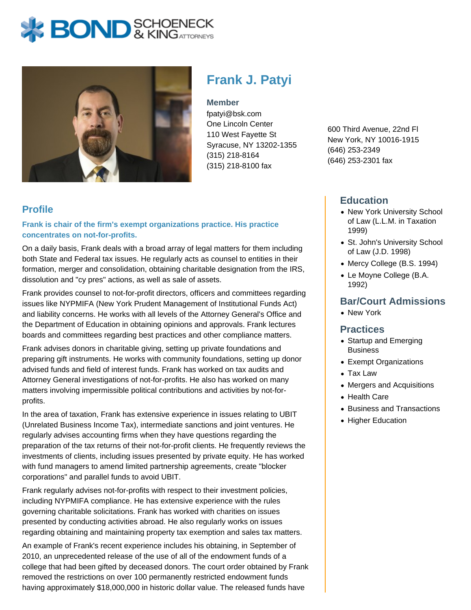# **X: BOND** & KINGATTORNEYS



# **Frank J. Patyi**

**Member**

fpatyi@bsk.com One Lincoln Center 110 West Fayette St Syracuse, NY 13202-1355 (315) 218-8164 (315) 218-8100 fax

**Profile**

**Frank is chair of the firm's exempt organizations practice. His practice concentrates on not-for-profits.**

On a daily basis, Frank deals with a broad array of legal matters for them including both State and Federal tax issues. He regularly acts as counsel to entities in their formation, merger and consolidation, obtaining charitable designation from the IRS, dissolution and "cy pres" actions, as well as sale of assets.

Frank provides counsel to not-for-profit directors, officers and committees regarding issues like NYPMIFA (New York Prudent Management of Institutional Funds Act) and liability concerns. He works with all levels of the Attorney General's Office and the Department of Education in obtaining opinions and approvals. Frank lectures boards and committees regarding best practices and other compliance matters.

Frank advises donors in charitable giving, setting up private foundations and preparing gift instruments. He works with community foundations, setting up donor advised funds and field of interest funds. Frank has worked on tax audits and Attorney General investigations of not-for-profits. He also has worked on many matters involving impermissible political contributions and activities by not-forprofits.

In the area of taxation, Frank has extensive experience in issues relating to UBIT (Unrelated Business Income Tax), intermediate sanctions and joint ventures. He regularly advises accounting firms when they have questions regarding the preparation of the tax returns of their not-for-profit clients. He frequently reviews the investments of clients, including issues presented by private equity. He has worked with fund managers to amend limited partnership agreements, create "blocker corporations" and parallel funds to avoid UBIT.

Frank regularly advises not-for-profits with respect to their investment policies, including NYPMIFA compliance. He has extensive experience with the rules governing charitable solicitations. Frank has worked with charities on issues presented by conducting activities abroad. He also regularly works on issues regarding obtaining and maintaining property tax exemption and sales tax matters.

An example of Frank's recent experience includes his obtaining, in September of 2010, an unprecedented release of the use of all of the endowment funds of a college that had been gifted by deceased donors. The court order obtained by Frank removed the restrictions on over 100 permanently restricted endowment funds having approximately \$18,000,000 in historic dollar value. The released funds have

600 Third Avenue, 22nd Fl New York, NY 10016-1915 (646) 253-2349 (646) 253-2301 fax

### **Education**

- New York University School of Law (L.L.M. in Taxation 1999)
- St. John's University School of Law (J.D. 1998)
- Mercy College (B.S. 1994)
- Le Moyne College (B.A. 1992)

# **Bar/Court Admissions**

• New York

#### **Practices**

- Startup and Emerging Business
- Exempt Organizations
- Tax Law
- Mergers and Acquisitions
- Health Care
- Business and Transactions
- Higher Education